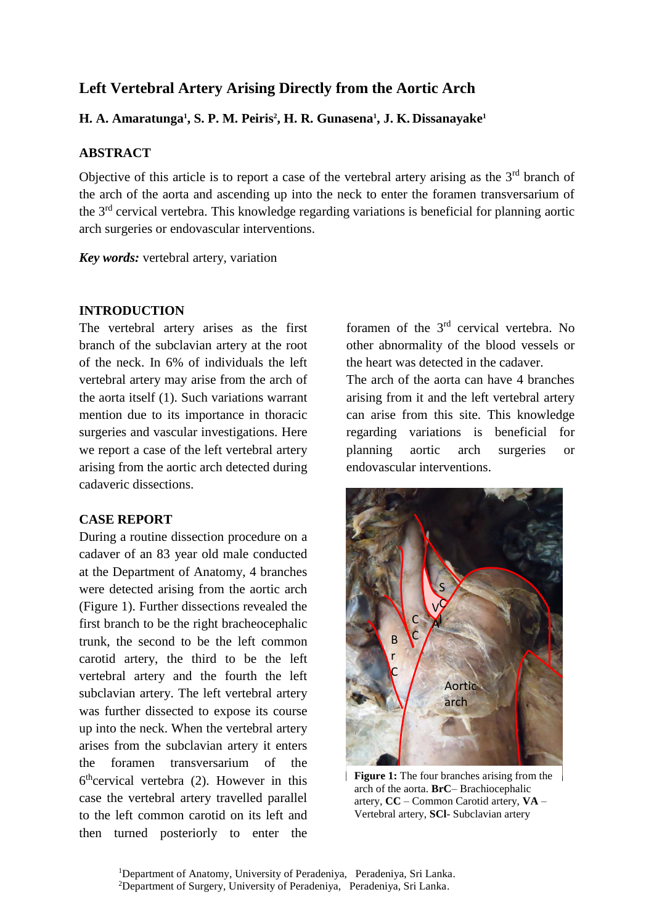# **Left Vertebral Artery Arising Directly from the Aortic Arch**

# **H. A. Amaratunga<sup>1</sup> , S. P. M. Peiris<sup>2</sup> , H. R. Gunasena<sup>1</sup> , J. K. Dissanayake<sup>1</sup>**

## **ABSTRACT**

Objective of this article is to report a case of the vertebral artery arising as the  $3<sup>rd</sup>$  branch of the arch of the aorta and ascending up into the neck to enter the foramen transversarium of the 3rd cervical vertebra. This knowledge regarding variations is beneficial for planning aortic arch surgeries or endovascular interventions.

*Key words:* vertebral artery, variation

### **INTRODUCTION**

The vertebral artery arises as the first branch of the subclavian artery at the root of the neck. In 6% of individuals the left vertebral artery may arise from the arch of the aorta itself (1). Such variations warrant mention due to its importance in thoracic surgeries and vascular investigations. Here we report a case of the left vertebral artery arising from the aortic arch detected during cadaveric dissections.

### **CASE REPORT**

During a routine dissection procedure on a cadaver of an 83 year old male conducted at the Department of Anatomy, 4 branches were detected arising from the aortic arch (Figure 1). Further dissections revealed the first branch to be the right bracheocephalic trunk, the second to be the left common carotid artery, the third to be the left vertebral artery and the fourth the left subclavian artery. The left vertebral artery was further dissected to expose its course up into the neck. When the vertebral artery arises from the subclavian artery it enters the foramen transversarium of the 6<sup>th</sup>cervical vertebra (2). However in this case the vertebral artery travelled parallel to the left common carotid on its left and then turned posteriorly to enter the

foramen of the 3rd cervical vertebra. No other abnormality of the blood vessels or the heart was detected in the cadaver.

The arch of the aorta can have 4 branches arising from it and the left vertebral artery can arise from this site. This knowledge regarding variations is beneficial for planning aortic arch surgeries or endovascular interventions.



**Figure 1:** The four branches arising from the arch of the aorta. **BrC**– Brachiocephalic artery, **CC** – Common Carotid artery, **VA** – Vertebral artery, **SCl**- Subclavian artery